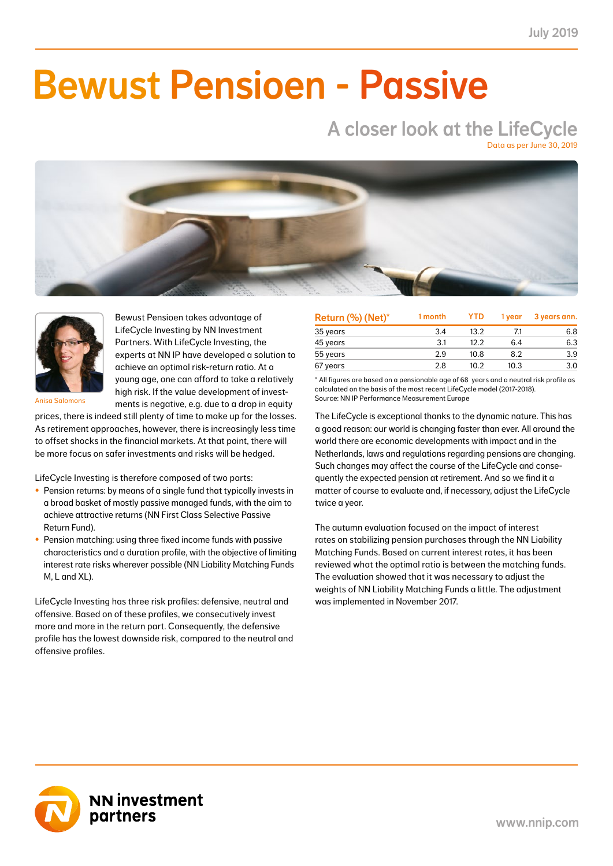NN First Class Selective Passive Return Fund 3.24 1.33 12.97 5.21 5.93 2.54 7.33 2.69 23.64 8.35 41.0

### NN Liability Matching Fund M 0.60 0.23 2.07 0.82 2.65 1.04 0.62 0.23 1.87 0.72 39.0  $\blacksquare$  II.a $\blacksquare$ NN Liability Matching Fund XL 9.21 0.99 32.08 3.22 36.90 3.55 2.23 0.37 6.84 1.15 10.0 Bewust Pensioen - Passive

# A closer look at the LifeCycle

Data as per June 30, 2019





Bewust Pensioen takes advantage of LifeCycle Investing by NN Investment Partners. With LifeCycle Investing, the experts at NN IP have developed a solution to achieve an optimal risk-return ratio. At a young age, one can afford to take a relatively high risk. If the value development of investments is negative, e.g. due to a drop in equity

Anisa Salomons

prices, there is indeed still plenty of time to make up for the losses. As retirement approaches, however, there is increasingly less time to offset shocks in the financial markets. At that point, there will be more focus on safer investments and risks will be hedged.

LifeCycle Investing is therefore composed of two parts:

- Pension returns: by means of a single fund that typically invests in a broad basket of mostly passive managed funds, with the aim to achieve attractive returns (NN First Class Selective Passive Return Fund).
- Pension matching: using three fixed income funds with passive characteristics and a duration profile, with the objective of limiting interest rate risks wherever possible (NN Liability Matching Funds M, L and XL).

LifeCycle Investing has three risk profiles: defensive, neutral and offensive. Based on of these profiles, we consecutively invest more and more in the return part. Consequently, the defensive profile has the lowest downside risk, compared to the neutral and offensive profiles.

| Return (%) (Net)* | 1 month | <b>YTD</b> | 1 vear | 3 years ann. |
|-------------------|---------|------------|--------|--------------|
| 35 years          | 3.4     | 13.2       | 7.1    | 6.8          |
| 45 years          | 3.1     | 12.2       | 6.4    | 6.3          |
| 55 years          | 2.9     | 10.8       | 8.2    | 3.9          |
| 67 years          | 2.8     | 10.2       | 10.3   | 3.0          |

\* All figures are based on a pensionable age of 68 years and a neutral risk profile as calculated on the basis of the most recent LifeCycle model (2017-2018). Source: NN IP Performance Measurement Europe

The LifeCycle is exceptional thanks to the dynamic nature. This has a good reason: our world is changing faster than ever. All around the world there are economic developments with impact and in the Netherlands, laws and regulations regarding pensions are changing. Such changes may affect the course of the LifeCycle and consequently the expected pension at retirement. And so we find it a matter of course to evaluate and, if necessary, adjust the LifeCycle twice a year.

The autumn evaluation focused on the impact of interest rates on stabilizing pension purchases through the NN Liability Matching Funds. Based on current interest rates, it has been reviewed what the optimal ratio is between the matching funds. The evaluation showed that it was necessary to adjust the weights of NN Liability Matching Funds a little. The adjustment was implemented in November 2017.

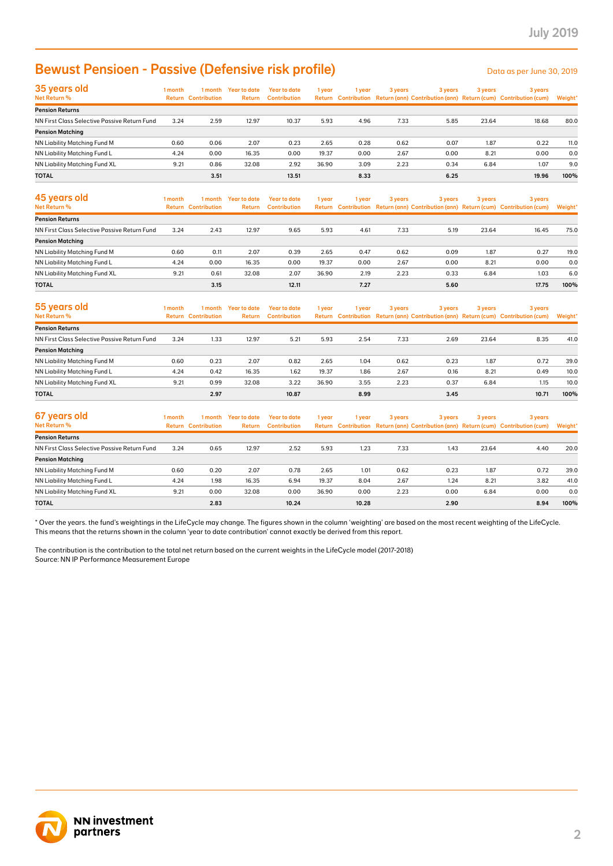## Bewust Pensioen - Passive (Defensive risk profile)

| <b>Bewust Pensioen - Passive (Defensive risk profile)</b>                                                                                                                                                                                                                                               |              |                                       |                                |                                            |                |              |              |              |              | Data as per June 30, 2019                                                                      |             |
|---------------------------------------------------------------------------------------------------------------------------------------------------------------------------------------------------------------------------------------------------------------------------------------------------------|--------------|---------------------------------------|--------------------------------|--------------------------------------------|----------------|--------------|--------------|--------------|--------------|------------------------------------------------------------------------------------------------|-------------|
| 35 years old<br>Net Return %                                                                                                                                                                                                                                                                            | 1 month      | <b>Return Contribution</b>            | 1 month Year to date<br>Return | <b>Year to date</b><br><b>Contribution</b> | 1 year         | 1 year       | 3 years      | 3 years      | 3 years      | 3 years<br>Return Contribution Return (ann) Contribution (ann) Return (cum) Contribution (cum) | Weight'     |
| <b>Pension Returns</b>                                                                                                                                                                                                                                                                                  |              |                                       |                                |                                            |                |              |              |              |              |                                                                                                |             |
| NN First Class Selective Passive Return Fund                                                                                                                                                                                                                                                            | 3.24         | 2.59                                  | 12.97                          | 10.37                                      | 5.93           | 4.96         | 7.33         | 5.85         | 23.64        | 18.68                                                                                          | 80.0        |
| <b>Pension Matching</b>                                                                                                                                                                                                                                                                                 |              |                                       |                                |                                            |                |              |              |              |              | 0.22                                                                                           |             |
| NN Liability Matching Fund M<br>NN Liability Matching Fund L                                                                                                                                                                                                                                            | 0.60<br>4.24 | 0.06<br>0.00                          | 2.07<br>16.35                  | 0.23<br>0.00                               | 2.65<br>19.37  | 0.28<br>0.00 | 0.62<br>2.67 | 0.07<br>0.00 | 1.87<br>8.21 | 0.00                                                                                           | 11.0<br>0.0 |
| NN Liability Matching Fund XL                                                                                                                                                                                                                                                                           | 9.21         | 0.86                                  | 32.08                          | 2.92                                       | 36.90          | 3.09         | 2.23         | 0.34         | 6.84         | 1.07                                                                                           | 9.0         |
| TOTAL                                                                                                                                                                                                                                                                                                   |              | 3.51                                  |                                | 13.51                                      |                | 8.33         |              | 6.25         |              | 19.96                                                                                          | 100%        |
|                                                                                                                                                                                                                                                                                                         |              |                                       |                                |                                            |                |              |              |              |              |                                                                                                |             |
| 45 years old<br>Net Return %                                                                                                                                                                                                                                                                            | 1 month      | 1 month<br><b>Return Contribution</b> | <b>Year to date</b><br>Return  | <b>Year to date</b><br><b>Contribution</b> | 1 year         | 1 year       | 3 years      | 3 years      | 3 years      | 3 years<br>Return Contribution Return (ann) Contribution (ann) Return (cum) Contribution (cum) | Weight'     |
| <b>Pension Returns</b>                                                                                                                                                                                                                                                                                  |              |                                       |                                |                                            |                |              |              |              |              |                                                                                                |             |
| NN First Class Selective Passive Return Fund                                                                                                                                                                                                                                                            | 3.24         | 2.43                                  | 12.97                          | 9.65                                       | 5.93           | 4.61         | 7.33         | 5.19         | 23.64        | 16.45                                                                                          | 75.0        |
| <b>Pension Matching</b>                                                                                                                                                                                                                                                                                 |              |                                       |                                |                                            |                |              |              |              |              |                                                                                                |             |
| NN Liability Matching Fund M                                                                                                                                                                                                                                                                            | 0.60         | 0.11                                  | 2.07                           | 0.39                                       | 2.65           | 0.47         | 0.62         | 0.09         | 1.87         | 0.27                                                                                           | 19.0        |
| NN Liability Matching Fund L<br>NN Liability Matching Fund XL                                                                                                                                                                                                                                           | 4.24<br>9.21 | 0.00<br>0.61                          | 16.35<br>32.08                 | 0.00<br>2.07                               | 19.37<br>36.90 | 0.00<br>2.19 | 2.67<br>2.23 | 0.00<br>0.33 | 8.21<br>6.84 | 0.00<br>1.03                                                                                   | 0.0<br>6.0  |
| TOTAL                                                                                                                                                                                                                                                                                                   |              | 3.15                                  |                                | 12.11                                      |                | 7.27         |              | 5.60         |              | 17.75                                                                                          | 100%        |
|                                                                                                                                                                                                                                                                                                         |              |                                       |                                |                                            |                |              |              |              |              |                                                                                                |             |
| 55 years old<br>Net Return %                                                                                                                                                                                                                                                                            | 1 month      | 1 month<br><b>Return Contribution</b> | <b>Year to date</b><br>Return  | <b>Year to date</b><br><b>Contribution</b> | 1 year         | 1 year       | 3 years      | 3 years      | 3 years      | 3 years<br>Return Contribution Return (ann) Contribution (ann) Return (cum) Contribution (cum) | Weight'     |
| <b>Pension Returns</b>                                                                                                                                                                                                                                                                                  |              |                                       |                                |                                            |                |              |              |              |              |                                                                                                |             |
| NN First Class Selective Passive Return Fund                                                                                                                                                                                                                                                            | 3.24         | 1.33                                  | 12.97                          | 5.21                                       | 5.93           | 2.54         | 7.33         | 2.69         | 23.64        | 8.35                                                                                           | 41.0        |
| <b>Pension Matching</b>                                                                                                                                                                                                                                                                                 |              |                                       |                                |                                            |                |              |              |              |              |                                                                                                |             |
| NN Liability Matching Fund M                                                                                                                                                                                                                                                                            | 0.60         | 0.23                                  | 2.07                           | 0.82                                       | 2.65           | 1.04         | 0.62         | 0.23         | 1.87         | 0.72                                                                                           | 39.0        |
| NN Liability Matching Fund L                                                                                                                                                                                                                                                                            | 4.24         | 0.42                                  | 16.35                          | 1.62                                       | 19.37          | 1.86         | 2.67         | 0.16         | 8.21         | 0.49                                                                                           | 10.0        |
| NN Liability Matching Fund XL                                                                                                                                                                                                                                                                           | 9.21         | 0.99                                  | 32.08                          | 3.22                                       | 36.90          | 3.55         | 2.23         | 0.37         | 6.84         | 1.15                                                                                           | 10.0        |
| <b>TOTAL</b>                                                                                                                                                                                                                                                                                            |              | 2.97                                  |                                | 10.87                                      |                | 8.99         |              | 3.45         |              | 10.71                                                                                          | 100%        |
| 67 years old<br>Net Return %                                                                                                                                                                                                                                                                            | 1 month      | 1 month<br><b>Return Contribution</b> | <b>Year to date</b><br>Return  | <b>Year to date</b><br><b>Contribution</b> | 1 year         | 1 year       | 3 years      | 3 years      | 3 years      | 3 years<br>Return Contribution Return (ann) Contribution (ann) Return (cum) Contribution (cum) | Weight'     |
| <b>Pension Returns</b>                                                                                                                                                                                                                                                                                  |              |                                       |                                |                                            |                |              |              |              |              |                                                                                                |             |
| NN First Class Selective Passive Return Fund                                                                                                                                                                                                                                                            | 3.24         | 0.65                                  | 12.97                          | 2.52                                       | 5.93           | 1.23         | 7.33         | 1.43         | 23.64        | 4.40                                                                                           | 20.0        |
| <b>Pension Matching</b>                                                                                                                                                                                                                                                                                 |              |                                       |                                |                                            |                |              |              |              |              |                                                                                                |             |
| NN Liability Matching Fund M                                                                                                                                                                                                                                                                            | 0.60         | 0.20                                  | 2.07                           | 0.78                                       | 2.65           | 1.01         | 0.62         | 0.23         | 1.87         | 0.72                                                                                           | 39.0        |
| NN Liability Matching Fund L                                                                                                                                                                                                                                                                            | 4.24         | 1.98                                  | 16.35                          | 6.94                                       | 19.37          | 8.04         | 2.67         | 1.24         | 8.21         | 3.82                                                                                           | 41.0        |
| NN Liability Matching Fund XL                                                                                                                                                                                                                                                                           | 9.21         | 0.00                                  | 32.08                          | 0.00                                       | 36.90          | 0.00         | 2.23         | 0.00         | 6.84         | 0.00                                                                                           | 0.0         |
| TOTAL                                                                                                                                                                                                                                                                                                   |              | 2.83                                  |                                | 10.24                                      |                | 10.28        |              | 2.90         |              | 8.94                                                                                           | 100%        |
| This means that the returns shown in the column 'year to date contribution' cannot exactly be derived from this report.<br>The contribution is the contribution to the total net return based on the current weights in the LifeCycle model (2017-2018)<br>Source: NN IP Performance Measurement Europe |              |                                       |                                |                                            |                |              |              |              |              |                                                                                                |             |
| <b>NN investment</b><br>partners                                                                                                                                                                                                                                                                        |              |                                       |                                |                                            |                |              |              |              |              |                                                                                                |             |

| 45 years old<br>Net Return %                 | Year to date<br>Year to date<br>1 month<br>3 years<br>1 month<br>3 years<br>1 year<br>l vear<br>Return Contribution Return (ann) Contribution (ann) Return (cum) Contribution (cum)<br><b>Return Contribution</b> |      |       |       |       | <b>Return</b><br><b>Contribution</b> | 3 years |      |       | 3 years | Weight* |
|----------------------------------------------|-------------------------------------------------------------------------------------------------------------------------------------------------------------------------------------------------------------------|------|-------|-------|-------|--------------------------------------|---------|------|-------|---------|---------|
|                                              |                                                                                                                                                                                                                   |      |       |       |       |                                      |         |      |       |         |         |
| <b>Pension Returns</b>                       |                                                                                                                                                                                                                   |      |       |       |       |                                      |         |      |       |         |         |
| NN First Class Selective Passive Return Fund | 3.24                                                                                                                                                                                                              | 2.43 | 12.97 | 9.65  | 5.93  | 4.61                                 | 7.33    | 5.19 | 23.64 | 16.45   | 75.0    |
| <b>Pension Matching</b>                      |                                                                                                                                                                                                                   |      |       |       |       |                                      |         |      |       |         |         |
| NN Liability Matching Fund M                 | 0.60                                                                                                                                                                                                              | 0.11 | 2.07  | 0.39  | 2.65  | 0.47                                 | 0.62    | 0.09 | 1.87  | 0.27    | 19.0    |
| NN Liability Matching Fund L                 | 4.24                                                                                                                                                                                                              | 0.00 | 16.35 | 0.00  | 19.37 | 0.00                                 | 2.67    | 0.00 | 8.21  | 0.00    | 0.0     |
| NN Liability Matching Fund XL                | 9.21                                                                                                                                                                                                              | 0.61 | 32.08 | 2.07  | 36.90 | 2.19                                 | 2.23    | 0.33 | 6.84  | 1.03    | 6.0     |
| <b>TOTAL</b>                                 |                                                                                                                                                                                                                   | 3.15 |       | 12.11 |       | 7.27                                 |         | 5.60 |       | 17.75   | 100%    |

| 55 years old                                 | 1 month | 1 month                    | Year to date  | <b>Year to date</b> | 1 year | l year | 3 years | 3 years | 3 years | 3 years                                                                             |         |
|----------------------------------------------|---------|----------------------------|---------------|---------------------|--------|--------|---------|---------|---------|-------------------------------------------------------------------------------------|---------|
| <b>Net Return %</b>                          |         | <b>Return Contribution</b> | <b>Return</b> | <b>Contribution</b> |        |        |         |         |         | Return Contribution Return (ann) Contribution (ann) Return (cum) Contribution (cum) | Weight* |
| <b>Pension Returns</b>                       |         |                            |               |                     |        |        |         |         |         |                                                                                     |         |
| NN First Class Selective Passive Return Fund | 3.24    | 1.33                       | 12.97         | 5.21                | 5.93   | 2.54   | 7.33    | 2.69    | 23.64   | 8.35                                                                                | 41.0    |
| <b>Pension Matching</b>                      |         |                            |               |                     |        |        |         |         |         |                                                                                     |         |
| NN Liability Matching Fund M                 | 0.60    | 0.23                       | 2.07          | 0.82                | 2.65   | 1.04   | 0.62    | 0.23    | 1.87    | 0.72                                                                                | 39.0    |
| NN Liability Matching Fund L                 | 4.24    | 0.42                       | 16.35         | 1.62                | 19.37  | 1.86   | 2.67    | 0.16    | 8.21    | 0.49                                                                                | 10.0    |
| NN Liability Matching Fund XL                | 9.21    | 0.99                       | 32.08         | 3.22                | 36.90  | 3.55   | 2.23    | 0.37    | 6.84    | 1.15                                                                                | 10.0    |
| <b>TOTAL</b>                                 |         | 2.97                       |               | 10.87               |        | 8.99   |         | 3.45    |         | 10.71                                                                               | 100%    |

| 67 years old<br>Net Return %                 | 1 month | 1 month<br><b>Return Contribution</b> | Year to date<br>Return | Year to date<br><b>Contribution</b> | 1 year | 1 vear | 3 years | 3 years | 3 years | 3 years<br>Return Contribution Return (ann) Contribution (ann) Return (cum) Contribution (cum) | Weight* |
|----------------------------------------------|---------|---------------------------------------|------------------------|-------------------------------------|--------|--------|---------|---------|---------|------------------------------------------------------------------------------------------------|---------|
| <b>Pension Returns</b>                       |         |                                       |                        |                                     |        |        |         |         |         |                                                                                                |         |
| NN First Class Selective Passive Return Fund | 3.24    | 0.65                                  | 12.97                  | 2.52                                | 5.93   | 1.23   | 7.33    | 1.43    | 23.64   | 4.40                                                                                           | 20.0    |
| <b>Pension Matching</b>                      |         |                                       |                        |                                     |        |        |         |         |         |                                                                                                |         |
| NN Liability Matching Fund M                 | 0.60    | 0.20                                  | 2.07                   | 0.78                                | 2.65   | 1.01   | 0.62    | 0.23    | 1.87    | 0.72                                                                                           | 39.0    |
| NN Liability Matching Fund L                 | 4.24    | 1.98                                  | 16.35                  | 6.94                                | 19.37  | 8.04   | 2.67    | 1.24    | 8.21    | 3.82                                                                                           | 41.0    |
| NN Liability Matching Fund XL                | 9.21    | 0.00                                  | 32.08                  | 0.00                                | 36.90  | 0.00   | 2.23    | 0.00    | 6.84    | 0.00                                                                                           | 0.0     |
| <b>TOTAL</b>                                 |         | 2.83                                  |                        | 10.24                               |        | 10.28  |         | 2.90    |         | 8.94                                                                                           | 100%    |

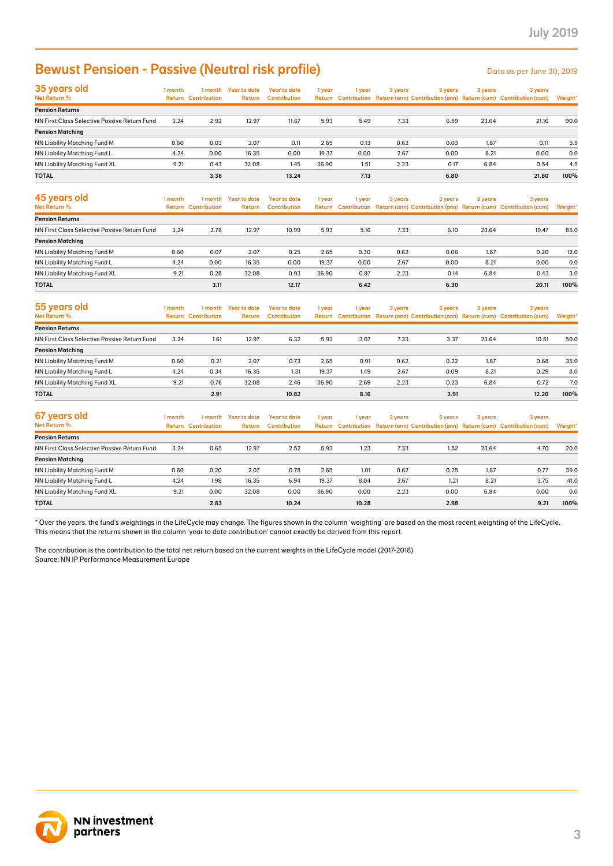### **Bewust Pensioen - Passive (Neutral risk profile)** Data as per June 30, 2019

| <b>Bewust Pensioen - Passive (Neutral risk profile)</b>                                                                                                                                                                                                                                                 |              |                                       |                                |                                            |               |                                      |              |              |              | Data as per June 30, 2019                                                                      |            |
|---------------------------------------------------------------------------------------------------------------------------------------------------------------------------------------------------------------------------------------------------------------------------------------------------------|--------------|---------------------------------------|--------------------------------|--------------------------------------------|---------------|--------------------------------------|--------------|--------------|--------------|------------------------------------------------------------------------------------------------|------------|
| 35 years old<br>Net Return %                                                                                                                                                                                                                                                                            | 1 month      | <b>Return Contribution</b>            | 1 month Year to date<br>Return | <b>Year to date</b><br><b>Contribution</b> | 1 year        | 1 year                               | 3 years      | 3 years      | 3 years      | 3 years<br>Return Contribution Return (ann) Contribution (ann) Return (cum) Contribution (cum) | Weight'    |
| <b>Pension Returns</b>                                                                                                                                                                                                                                                                                  |              |                                       |                                |                                            |               |                                      |              |              |              |                                                                                                |            |
| NN First Class Selective Passive Return Fund                                                                                                                                                                                                                                                            | 3.24         | 2.92                                  | 12.97                          | 11.67                                      | 5.93          | 5.49                                 | 7.33         | 6.59         | 23.64        | 21.16                                                                                          | 90.0       |
| <b>Pension Matching</b>                                                                                                                                                                                                                                                                                 |              |                                       |                                |                                            |               |                                      |              |              |              |                                                                                                |            |
| NN Liability Matching Fund M<br>NN Liability Matching Fund L                                                                                                                                                                                                                                            | 0.60<br>4.24 | 0.03<br>0.00                          | 2.07<br>16.35                  | 0.11<br>0.00                               | 2.65<br>19.37 | 0.13<br>0.00                         | 0.62<br>2.67 | 0.03<br>0.00 | 1.87<br>8.21 | 0.11<br>0.00                                                                                   | 5.5<br>0.0 |
| NN Liability Matching Fund XL                                                                                                                                                                                                                                                                           | 9.21         | 0.43                                  | 32.08                          | 1.45                                       | 36.90         | 1.51                                 | 2.23         | 0.17         | 6.84         | 0.54                                                                                           | 4.5        |
| TOTAL                                                                                                                                                                                                                                                                                                   |              | 3.38                                  |                                | 13.24                                      |               | 7.13                                 |              | 6.80         |              | 21.80                                                                                          | 100%       |
| 45 years old<br>Net Return %                                                                                                                                                                                                                                                                            | 1 month      | 1 month<br><b>Return Contribution</b> | <b>Year to date</b><br>Return  | <b>Year to date</b><br><b>Contribution</b> | 1 year        | 1 year                               | 3 years      | 3 years      | 3 years      | 3 years<br>Return Contribution Return (ann) Contribution (ann) Return (cum) Contribution (cum) | Weight'    |
| <b>Pension Returns</b>                                                                                                                                                                                                                                                                                  |              |                                       |                                |                                            |               |                                      |              |              |              |                                                                                                |            |
| NN First Class Selective Passive Return Fund                                                                                                                                                                                                                                                            | 3.24         | 2.76                                  | 12.97                          | 10.99                                      | 5.93          | 5.16                                 | 7.33         | 6.10         | 23.64        | 19.47                                                                                          | 85.0       |
| <b>Pension Matching</b>                                                                                                                                                                                                                                                                                 |              |                                       |                                |                                            |               |                                      |              |              |              |                                                                                                |            |
| NN Liability Matching Fund M                                                                                                                                                                                                                                                                            | 0.60         | 0.07                                  | 2.07                           | 0.25                                       | 2.65          | 0.30                                 | 0.62         | 0.06         | 1.87         | 0.20                                                                                           | 12.0       |
| NN Liability Matching Fund L                                                                                                                                                                                                                                                                            | 4.24         | 0.00                                  | 16.35                          | 0.00                                       | 19.37         | 0.00                                 | 2.67         | 0.00         | 8.21         | 0.00                                                                                           | 0.0        |
| NN Liability Matching Fund XL                                                                                                                                                                                                                                                                           | 9.21         | 0.28                                  | 32.08                          | 0.93                                       | 36.90         | 0.97                                 | 2.23         | 0.14         | 6.84         | 0.43                                                                                           | 3.0        |
| <b>TOTAL</b>                                                                                                                                                                                                                                                                                            |              | 3.11                                  |                                | 12.17                                      |               | 6.42                                 |              | 6.30         |              | 20.11                                                                                          | 100%       |
| 55 years old<br>Net Return %                                                                                                                                                                                                                                                                            | 1 month      | 1 month<br><b>Return Contribution</b> | <b>Year to date</b><br>Return  | <b>Year to date</b><br><b>Contribution</b> | 1 year        | 1 year<br><b>Return Contribution</b> | 3 years      | 3 years      | 3 years      | 3 years<br>Return (ann) Contribution (ann) Return (cum) Contribution (cum)                     | Weight'    |
| <b>Pension Returns</b>                                                                                                                                                                                                                                                                                  |              |                                       |                                |                                            |               |                                      |              |              |              |                                                                                                |            |
| NN First Class Selective Passive Return Fund                                                                                                                                                                                                                                                            | 3.24         | 1.61                                  | 12.97                          | 6.32                                       | 5.93          | 3.07                                 | 7.33         | 3.37         | 23.64        | 10.51                                                                                          | 50.0       |
| <b>Pension Matching</b>                                                                                                                                                                                                                                                                                 |              |                                       |                                |                                            |               |                                      |              |              |              |                                                                                                |            |
| NN Liability Matching Fund M                                                                                                                                                                                                                                                                            | 0.60         | 0.21                                  | 2.07                           | 0.73                                       | 2.65          | 0.91                                 | 0.62         | 0.22         | 1.87         | 0.68                                                                                           | 35.0       |
| NN Liability Matching Fund L                                                                                                                                                                                                                                                                            | 4.24         | 0.34                                  | 16.35                          | 1.31                                       | 19.37         | 1.49                                 | 2.67         | 0.09         | 8.21         | 0.29                                                                                           | 8.0        |
| NN Liability Matching Fund XL                                                                                                                                                                                                                                                                           | 9.21         | 0.76                                  | 32.08                          | 2.46                                       | 36.90         | 2.69                                 | 2.23         | 0.23         | 6.84         | 0.72                                                                                           | 7.0        |
| <b>TOTAL</b>                                                                                                                                                                                                                                                                                            |              | 2.91                                  |                                | 10.82                                      |               | 8.16                                 |              | 3.91         |              | 12.20                                                                                          | 100%       |
| 67 years old<br>Net Return %                                                                                                                                                                                                                                                                            | 1 month      | 1 month<br><b>Return Contribution</b> | <b>Year to date</b><br>Return  | <b>Year to date</b><br><b>Contribution</b> | 1 year        | 1 year                               | 3 years      | 3 years      | 3 years      | 3 years<br>Return Contribution Return (ann) Contribution (ann) Return (cum) Contribution (cum) | Weight*    |
| <b>Pension Returns</b>                                                                                                                                                                                                                                                                                  |              |                                       |                                |                                            |               |                                      |              |              |              |                                                                                                |            |
| NN First Class Selective Passive Return Fund                                                                                                                                                                                                                                                            | 3.24         | 0.65                                  | 12.97                          | 2.52                                       | 5.93          | 1.23                                 | 7.33         | 1.52         | 23.64        | 4.70                                                                                           | 20.0       |
| <b>Pension Matching</b>                                                                                                                                                                                                                                                                                 |              |                                       |                                |                                            |               |                                      |              |              |              |                                                                                                |            |
| NN Liability Matching Fund M                                                                                                                                                                                                                                                                            | 0.60         | 0.20                                  | 2.07                           | 0.78                                       | 2.65          | 1.01                                 | 0.62         | 0.25         | 1.87         | 0.77                                                                                           | 39.0       |
| NN Liability Matching Fund L                                                                                                                                                                                                                                                                            | 4.24         | 1.98                                  | 16.35                          | 6.94                                       | 19.37         | 8.04                                 | 2.67         | 1.21         | 8.21         | 3.75                                                                                           | 41.0       |
| NN Liability Matching Fund XL                                                                                                                                                                                                                                                                           | 9.21         | 0.00                                  | 32.08                          | 0.00                                       | 36.90         | 0.00                                 | 2.23         | 0.00         | 6.84         | 0.00                                                                                           | 0.0        |
| TOTAL                                                                                                                                                                                                                                                                                                   |              | 2.83                                  |                                | 10.24                                      |               | 10.28                                |              | 2.98         |              | 9.21                                                                                           | 100%       |
| This means that the returns shown in the column 'year to date contribution' cannot exactly be derived from this report.<br>The contribution is the contribution to the total net return based on the current weights in the LifeCycle model (2017-2018)<br>Source: NN IP Performance Measurement Europe |              |                                       |                                |                                            |               |                                      |              |              |              |                                                                                                |            |
|                                                                                                                                                                                                                                                                                                         |              |                                       |                                |                                            |               |                                      |              |              |              |                                                                                                |            |

| 45 years old<br>Net Return %                 | 1 month | 1 month<br><b>Return Contribution</b> | Year to date<br>Return | Year to date<br><b>Contribution</b> | 1 year | 1 vear | 3 years | 3 years | 3 years | 3 years<br>Return Contribution Return (ann) Contribution (ann) Return (cum) Contribution (cum) | Weight* |
|----------------------------------------------|---------|---------------------------------------|------------------------|-------------------------------------|--------|--------|---------|---------|---------|------------------------------------------------------------------------------------------------|---------|
| <b>Pension Returns</b>                       |         |                                       |                        |                                     |        |        |         |         |         |                                                                                                |         |
| NN First Class Selective Passive Return Fund | 3.24    | 2.76                                  | 12.97                  | 10.99                               | 5.93   | 5.16   | 7.33    | 6.10    | 23.64   | 19.47                                                                                          | 85.0    |
| <b>Pension Matching</b>                      |         |                                       |                        |                                     |        |        |         |         |         |                                                                                                |         |
| NN Liability Matching Fund M                 | 0.60    | 0.07                                  | 2.07                   | 0.25                                | 2.65   | 0.30   | 0.62    | 0.06    | 1.87    | 0.20                                                                                           | 12.0    |
| NN Liability Matching Fund L                 | 4.24    | 0.00                                  | 16.35                  | 0.00                                | 19.37  | 0.00   | 2.67    | 0.00    | 8.21    | 0.00                                                                                           | 0.0     |
| NN Liability Matching Fund XL                | 9.21    | 0.28                                  | 32.08                  | 0.93                                | 36.90  | 0.97   | 2.23    | 0.14    | 6.84    | 0.43                                                                                           | 3.0     |
| <b>TOTAL</b>                                 |         | 3.11                                  |                        | 12.17                               |        | 6.42   |         | 6.30    |         | 20.11                                                                                          | 100%    |

| 55 years old                                 | 1 month | 1 month                    | <b>Year to date</b> | Year to date        | 1 year | l year | 3 years | 3 years | 3 years | 3 years                                                                             |         |
|----------------------------------------------|---------|----------------------------|---------------------|---------------------|--------|--------|---------|---------|---------|-------------------------------------------------------------------------------------|---------|
| Net Return %                                 |         | <b>Return Contribution</b> | <b>Return</b>       | <b>Contribution</b> |        |        |         |         |         | Return Contribution Return (ann) Contribution (ann) Return (cum) Contribution (cum) | Weight* |
| <b>Pension Returns</b>                       |         |                            |                     |                     |        |        |         |         |         |                                                                                     |         |
| NN First Class Selective Passive Return Fund | 3.24    | 1.61                       | 12.97               | 6.32                | 5.93   | 3.07   | 7.33    | 3.37    | 23.64   | 10.51                                                                               | 50.0    |
| <b>Pension Matching</b>                      |         |                            |                     |                     |        |        |         |         |         |                                                                                     |         |
| NN Liability Matching Fund M                 | 0.60    | 0.21                       | 2.07                | 0.73                | 2.65   | 0.91   | 0.62    | 0.22    | 1.87    | 0.68                                                                                | 35.0    |
| NN Liability Matching Fund L                 | 4.24    | 0.34                       | 16.35               | 1.31                | 19.37  | 1.49   | 2.67    | 0.09    | 8.21    | 0.29                                                                                | 8.0     |
| NN Liability Matching Fund XL                | 9.21    | 0.76                       | 32.08               | 2.46                | 36.90  | 2.69   | 2.23    | 0.23    | 6.84    | 0.72                                                                                | 7.0     |
| <b>TOTAL</b>                                 |         | 2.91                       |                     | 10.82               |        | 8.16   |         | 3.91    |         | 12.20                                                                               | 100%    |

| 67 years old<br>Net Return %                 | 1 month | 1 month<br><b>Return Contribution</b> | Year to date<br>Return | Year to date<br><b>Contribution</b> | 1 year | 1 vear | 3 years | 3 years | 3 years | 3 years<br>Return Contribution Return (ann) Contribution (ann) Return (cum) Contribution (cum) | Weight* |
|----------------------------------------------|---------|---------------------------------------|------------------------|-------------------------------------|--------|--------|---------|---------|---------|------------------------------------------------------------------------------------------------|---------|
| <b>Pension Returns</b>                       |         |                                       |                        |                                     |        |        |         |         |         |                                                                                                |         |
| NN First Class Selective Passive Return Fund | 3.24    | 0.65                                  | 12.97                  | 2.52                                | 5.93   | 1.23   | 7.33    | 1.52    | 23.64   | 4.70                                                                                           | 20.0    |
| <b>Pension Matching</b>                      |         |                                       |                        |                                     |        |        |         |         |         |                                                                                                |         |
| NN Liability Matching Fund M                 | 0.60    | 0.20                                  | 2.07                   | 0.78                                | 2.65   | 1.01   | 0.62    | 0.25    | 1.87    | 0.77                                                                                           | 39.0    |
| NN Liability Matching Fund L                 | 4.24    | 1.98                                  | 16.35                  | 6.94                                | 19.37  | 8.04   | 2.67    | 1.21    | 8.21    | 3.75                                                                                           | 41.0    |
| NN Liability Matching Fund XL                | 9.21    | 0.00                                  | 32.08                  | 0.00                                | 36.90  | 0.00   | 2.23    | 0.00    | 6.84    | 0.00                                                                                           | 0.0     |
| <b>TOTAL</b>                                 |         | 2.83                                  |                        | 10.24                               |        | 10.28  |         | 2.98    |         | 9.21                                                                                           | 100%    |